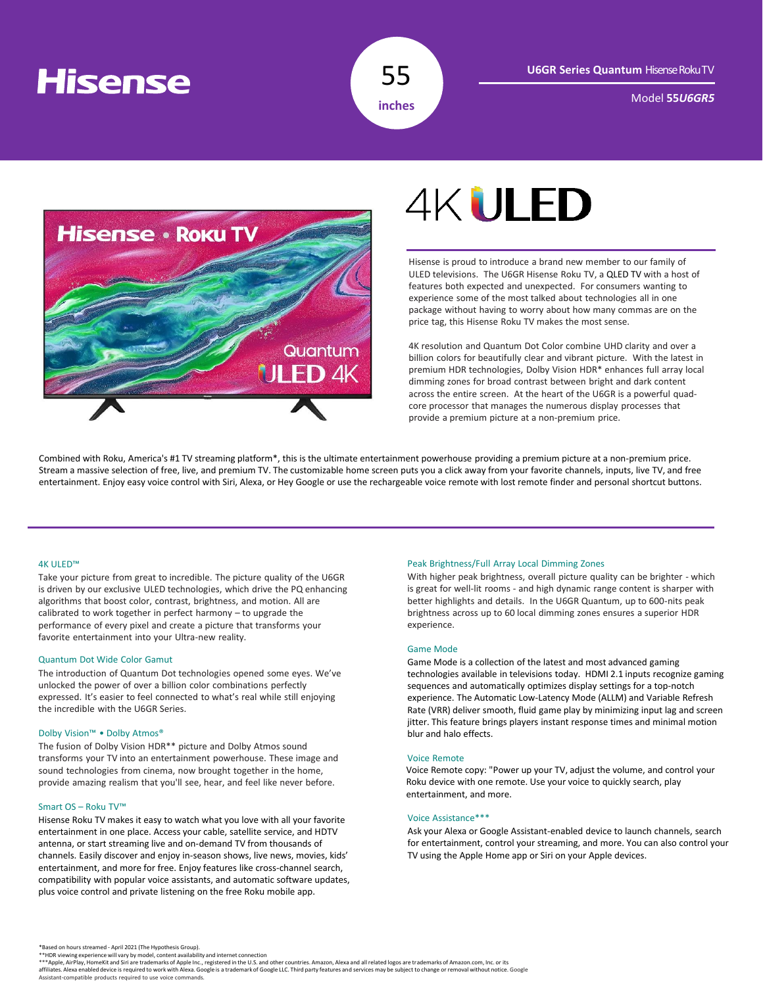## **Hisense**



Model **55***U6GR5*



# **4KULED**

Hisense is proud to introduce a brand new member to our family of ULED televisions. The U6GR Hisense Roku TV, a QLED TV with a host of features both expected and unexpected. For consumers wanting to experience some of the most talked about technologies all in one package without having to worry about how many commas are on the price tag, this Hisense Roku TV makes the most sense.

4K resolution and Quantum Dot Color combine UHD clarity and over a billion colors for beautifully clear and vibrant picture. With the latest in premium HDR technologies, Dolby Vision HDR\* enhances full array local dimming zones for broad contrast between bright and dark content across the entire screen. At the heart of the U6GR is a powerful quadcore processor that manages the numerous display processes that provide a premium picture at a non-premium price.

Combined with Roku, America's #1 TV streaming platform\*, this is the ultimate entertainment powerhouse providing a premium picture at a non-premium price. Stream a massive selection of free, live, and premium TV. The customizable home screen puts you a click away from your favorite channels, inputs, live TV, and free entertainment. Enjoy easy voice control with Siri, Alexa, or Hey Google or use the rechargeable voice remote with lost remote finder and personal shortcut buttons.

#### 4K ULED™

Take your picture from great to incredible. The picture quality of the U6GR is driven by our exclusive ULED technologies, which drive the PQ enhancing algorithms that boost color, contrast, brightness, and motion. All are calibrated to work together in perfect harmony – to upgrade the performance of every pixel and create a picture that transforms your favorite entertainment into your Ultra-new reality.

#### Quantum Dot Wide Color Gamut

The introduction of Quantum Dot technologies opened some eyes. We've unlocked the power of over a billion color combinations perfectly expressed. It's easier to feel connected to what's real while still enjoying the incredible with the U6GR Series.

### Dolby Vision™ • Dolby Atmos®

The fusion of Dolby Vision HDR\*\* picture and Dolby Atmos sound transforms your TV into an entertainment powerhouse. These image and sound technologies from cinema, now brought together in the home, provide amazing realism that you'll see, hear, and feel like never before.

#### Smart OS – Roku TV™

Hisense Roku TV makes it easy to watch what you love with all your favorite entertainment in one place. Access your cable, satellite service, and HDTV antenna, or start streaming live and on-demand TV from thousands of channels. Easily discover and enjoy in-season shows, live news, movies, kids' entertainment, and more for free. Enjoy features like cross-channel search, compatibility with popular voice assistants, and automatic software updates, plus voice control and private listening on the free Roku mobile app.

#### Peak Brightness/Full Array Local Dimming Zones

With higher peak brightness, overall picture quality can be brighter - which is great for well-lit rooms - and high dynamic range content is sharper with better highlights and details. In the U6GR Quantum, up to 600-nits peak brightness across up to 60 local dimming zones ensures a superior HDR experience.

#### Game Mode

Game Mode is a collection of the latest and most advanced gaming technologies available in televisions today. HDMI 2.1 inputs recognize gaming sequences and automatically optimizes display settings for a top-notch experience. The Automatic Low-Latency Mode (ALLM) and Variable Refresh Rate (VRR) deliver smooth, fluid game play by minimizing input lag and screen jitter. This feature brings players instant response times and minimal motion blur and halo effects.

#### Voice Remote

Voice Remote copy: "Power up your TV, adjust the volume, and control your Roku device with one remote. Use your voice to quickly search, play entertainment, and more.

#### Voice Assistance\*\*\*

Ask your Alexa or Google Assistant-enabled device to launch channels, search for entertainment, control your streaming, and more. You can also control your TV using the Apple Home app or Siri on your Apple devices.

\*\*HDR viewing experience will vary by model, content availability and internet connection<br>\*\*\*Apple, AirPlay, HomeKit and Siri are trademarks of Apple and the U.S. and other countries. Amazon, Alexa and all related logos ar Assistant-compatible products required to use voice commands.

<sup>\*</sup>Based on hours streamed - April 2021 (The Hypothesis Group).